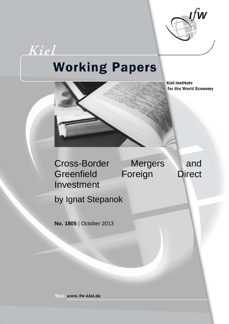

# **Working Papers**

Kiel

**Kiel Institute** for the World Economy



by Ignat Stepanok

**No. 1805** | October 2013

Web: www.ifw-kiel.de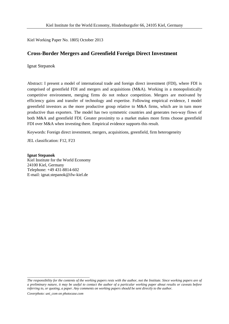Kiel Working Paper No. 1805| October 2013

# **Cross-Border Mergers and Greenfield Foreign Direct Investment**

Ignat Stepanok

Abstract: I present a model of international trade and foreign direct investment (FDI), where FDI is comprised of greenfield FDI and mergers and acquisitions (M&A). Working in a monopolistically competitive environment, merging firms do not reduce competition. Mergers are motivated by efficiency gains and transfer of technology and expertise. Following empirical evidence, I model greenfield investors as the more productive group relative to M&A firms, which are in turn more productive than exporters. The model has two symmetric countries and generates two-way flows of both M&A and greenfield FDI. Greater proximity to a market makes more firms choose greenfield FDI over M&A when investing there. Empirical evidence supports this result.

Keywords: Foreign direct investment, mergers, acquisitions, greenfield, firm heterogeneity

JEL classification: F12, F23

**Ignat Stepanok** Kiel Institute for the World Economy 24100 Kiel, Germany Telephone: +49 431-8814-602 E-mail: ignat.stepanok@ifw-kiel.de

\_\_\_\_\_\_\_\_\_\_\_\_\_\_\_\_\_\_\_\_\_\_\_\_\_\_\_\_\_\_\_\_\_\_\_\_

*The responsibility for the contents of the working papers rests with the author, not the Institute. Since working papers are of a preliminary nature, it may be useful to contact the author of a particular working paper about results or caveats before referring to, or quoting, a paper. Any comments on working papers should be sent directly to the author. Coverphoto: uni\_com on photocase.com*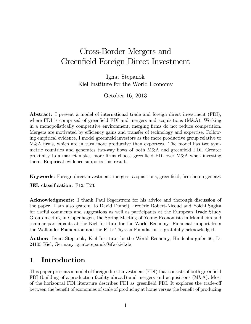# Cross-Border Mergers and Greenfield Foreign Direct Investment

Ignat Stepanok Kiel Institute for the World Economy

October 16, 2013

Abstract: I present a model of international trade and foreign direct investment (FDI), where FDI is comprised of greenfield FDI and mergers and acquisitions  $(M&A)$ . Working in a monopolistically competitive environment, merging Örms do not reduce competition. Mergers are motivated by efficiency gains and transfer of technology and expertise. Following empirical evidence, I model greenfield investors as the more productive group relative to M&A firms, which are in turn more productive than exporters. The model has two symmetric countries and generates two-way flows of both M&A and greenfield FDI. Greater proximity to a market makes more firms choose greenfield FDI over M&A when investing there. Empirical evidence supports this result.

Keywords: Foreign direct investment, mergers, acquisitions, greenfield, firm heterogeneity.

JEL classification: F12; F23.

Acknowledgments: I thank Paul Segerstrom for his advice and thorough discussion of the paper. I am also grateful to David Domeij, Frédéric Robert-Nicoud and Yoichi Sugita for useful comments and suggestions as well as participants at the European Trade Study Group meeting in Copenhagen, the Spring Meeting of Young Economists in Mannheim and seminar participants at the Kiel Institute for the World Economy. Financial support from the Wallander Foundation and the Fritz Thyssen Foundation is gratefully acknowledged.

Author: Ignat Stepanok, Kiel Institute for the World Economy, Hindenburgufer 66, D-24105 Kiel, Germany ignat.stepanok@ifw-kiel.de

# 1 Introduction

This paper presents a model of foreign direct investment (FDI) that consists of both greenfield FDI (building of a production facility abroad) and mergers and acquisitions (M&A). Most of the horizontal FDI literature describes FDI as greenfield FDI. It explores the trade-off between the benefit of economies of scale of producing at home versus the benefit of producing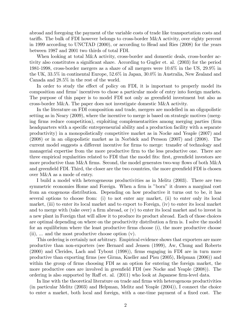abroad and foregoing the payment of the variable costs of trade like transportation costs and tariffs. The bulk of FDI however belongs to cross-border M&A activity, over eighty percent in 1999 according to UNCTAD (2000), or according to Head and Ries (2008) for the years between 1987 and 2001 two thirds of total FDI.

When looking at total M&A activity, cross-border and domestic deals, cross-border activity also constitutes a significant share. According to Gugler et. al. (2003) for the period 1981-1998, cross-border mergers as a share of all mergers were 10:6% in the US, 29:9% in the UK, 33:5% in continental Europe, 52:6% in Japan, 30:0% in Australia, New Zealand and Canada and 28:5% in the rest of the world.

In order to study the effect of policy on FDI, it is important to properly model its composition and firms' incentives to chose a particular mode of entry into foreign markets. The purpose of this paper is to model FDI not only as green field investment but also as cross-border M&A. The paper does not investigate domestic M&A activity.

In the literature on FDI composition and trade, mergers are modelled in an oligopolistic setting as in Neary (2009), where the incentive to merge is based on strategic motives (merging firms reduce competition), exploiting complementarities among merging parties (firm headquarters with a specific entrepreneurial ability and a production facility with a separate productivity) in a monopolistically competitive market as in Nocke and Yeaple (2007) and  $(2008)$  or in an oligopolistic market as in Norbäck and Persson  $(2007)$  and  $(2008)$ . The current model suggests a different incentive for firms to merge: transfer of technology and managerial expertise from the more productive firm to the less productive one. There are three empirical regularities related to FDI that the model fits: first, greenfield investors are more productive than M&A firms. Second, the model generates two-way flows of both  $M\&A$ and greenfield FDI. Third, the closer are the two countries, the more greenfield FDI is chosen over M&A as a mode of entry.

I build a model with heterogeneous productivities as in Melitz (2003). There are two symmetric economies Home and Foreign. When a firm is "born" it draws a marginal cost from an exogenous distribution. Depending on how productive it turns out to be, it has several options to choose from: (i) to not enter any market, (ii) to enter only its local market, (iii) to enter its local market and to export to Foreign, (iv) to enter its local market and to merge with (take over) a firm abroad, or  $(v)$  to enter its local market and to invest in a new plant in Foreign that will allow it to produce its product abroad. Each of those choices are optimal depending on where on the productivity distribution a firm is. I solve the model for an equilibrium where the least productive firms choose (i), the more productive choose (ii), ... and the most productive choose option (v).

This ordering is certainly not arbitrary. Empirical evidence shows that exporters are more productive than non-exporters (see Bernard and Jensen (1999), Aw, Chung and Roberts (2000) and Clerides, Lach and Tybout (1998)), Örms engaging in FDI are in turn more productive than exporting Örms (see Girma, Kneller and Pisu (2005), Helpman (2006)) and within the group of firms choosing FDI as an option for entering the foreign market, the more productive ones are involved in greenfield FDI (see Nocke and Yeaple (2008)). The ordering is also supported by Raff et. al.  $(2011)$  who look at Japanese firm-level data.

In line with the theoretical literature on trade and firms with heterogenous productivities (in particular Melitz (2003) and Helpman, Melitz and Yeaple (2004)), I connect the choice to enter a market, both local and foreign, with a one-time payment of a fixed cost. The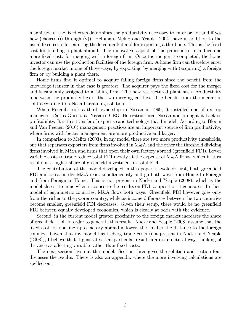magnitude of the fixed costs determines the productivity necessary to enter or not and if yes how (choices (i) through (v)). Helpman, Melitz and Yeaple (2004) have in addition to the usual fixed costs for entering the local market and for exporting a third one. This is the fixed cost for building a plant abroad. The innovative aspect of this paper is to introduce one more fixed cost: for merging with a foreign firm. Once the merger is completed, the home investor can use the production facilities of the foreign firm. A home firm can therefore enter the foreign market in one of three ways, by exporting, by merging with (acquiring) a foreign firm or by building a plant there.

Home firms find it optimal to acquire failing foreign firms since the benefit from the knowledge transfer in that case is greatest. The acquirer pays the fixed cost for the merger and is randomly assigned to a failing firm. The new restructured plant has a productivity inductivities of the two merging entities. The benefit from the merger is split according to a Nash bargaining solution.

When Renault took a third ownership in Nissan in 1999, it installed one of its top managers, Carlos Ghosn, as Nissanís CEO. He restructured Nissan and brought it back to proÖtability. It is this transfer of expertise and technology that I model. According to Bloom and Van Reenen (2010) management practices are an important source of firm productivity, where firms with better management are more productive and larger.

In comparison to Melitz (2003), in my model there are two more productivity thresholds, one that separates exporters from firms involved in  $M\&\Lambda$  and the other the threshold dividing firms involved in M&A and firms that open their own factory abroad (greenfield FDI). Lower variable costs to trade reduce total FDI mostly at the expense of M&A Örms, which in turn results in a higher share of green field investment in total FDI.

The contribution of the model developed in this paper is twofold: first, both greenfield FDI and cross-border M&A exist simultaneously and go both ways from Home to Foreign and from Foreign to Home. This is not present in Nocke and Yeaple (2008), which is the model closest to mine when it comes to the results on FDI composition it generates. In their model of asymmetric countries, M&A flows both ways. Greenfield FDI however goes only from the richer to the poorer country, while as income differences between the two countries become smaller, greenfield FDI decreases. Given their setup, there would be no greenfield FDI between equally developed economies, which is clearly at odds with the evidence.

Second, in the current model greater proximity to the foreign market increases the share of greenfield FDI. In order to generate this result, Nocke and Yeaple (2008) assume that the fixed cost for opening up a factory abroad is lower, the smaller the distance to the foreign country. Given that my model has iceberg trade costs (not present in Nocke and Yeaple (2008)), I believe that it generates that particular result in a more natural way, thinking of distance as affecting variable rather than fixed costs.

The next section lays out the model. Section three gives the solution and section four discusses the results. There is also an appendix where the more involving calculations are spelled out.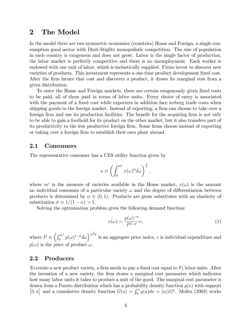# 2 The Model

In the model there are two symmetric economies (countries) Home and Foreign, a single consumption good sector with Dixit-Stiglitz monopolistic competition. The size of population in each country is exogenous and does not grow. Labor is the single factor of production, the labor market is perfectly competitive and there is no unemployment. Each worker is endowed with one unit of labor, which is inelastically supplied. Firms invest to discover new varieties of products. This investment represents a one-time product development fixed cost. After the firm incurs that cost and discovers a product, it draws its marginal cost from a given distribution.

To enter the Home and Foreign markets, there are certain exogenously given fixed costs to be paid, all of them paid in terms of labor units. Every choice of entry is associated with the payment of a fixed cost while exporters in addition face iceberg trade costs when shipping goods to the foreign market. Instead of exporting, a firm can choose to take over a foreign firm and use its production facilities. The benefit for the acquiring firm is not only to be able to gain a foothold for its product on the other market, but it also transfers part of its productivity to the less productive foreign firm. Some firms choose instead of exporting or taking over a foreign firm to establish their own plant abroad.

#### 2.1 Consumers

The representative consumer has a CES utility function given by

$$
u \equiv \left( \int_0^{m^c} x(\omega)^\alpha d\omega \right)^{\frac{1}{\alpha}},
$$

where  $m<sup>c</sup>$  is the measure of varieties available in the Home market,  $x(\omega)$  is the amount an individual consumes of a particular variety  $\omega$  and the degree of differentiation between products is determined by  $\alpha \in (0, 1)$ . Products are gross substitutes with an elasticity of substitution  $\sigma \equiv 1/(1 - \alpha) > 1$ .

Solving the optimization problem gives the following demand function:

$$
x(\omega) = \frac{p(\omega)^{-\sigma}}{P^{1-\sigma}}c,
$$
\n(1)

where  $P \equiv \left(\int_0^{m^c} p(\omega)^{1-\sigma} d\omega\right)^{\frac{1}{1-\sigma}}$  is an aggregate price index, c is individual expenditure and  $p(\omega)$  is the price of product  $\omega$ .

#### 2.2 Producers

To create a new product variety, a firm needs to pay a fixed cost equal to  $F_I$  labor units. After the invention of a new variety, the firm draws a marginal cost parameter which indicates how many labor units it takes to produce a unit of the good. The marginal cost parameter is drawn from a Pareto distribution which has a probability density function  $g(a)$  with support [0,  $\bar{a}$ ] and a cumulative density function  $G(a) = \int_0^a g(a)da = (a/\bar{a})^k$ . Melitz (2003) works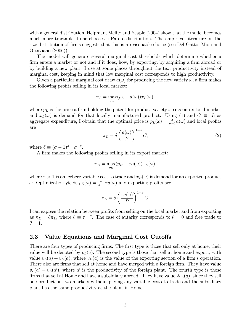with a general distribution, Helpman, Melitz and Yeaple (2004) show that the model becomes much more tractable if one chooses a Pareto distribution. The empirical literature on the size distribution of firms suggests that this is a reasonable choice (see Del Gatto, Mion and Ottaviano (2006)).

The model will generate several marginal cost thresholds which determine whether a firm enters a market or not and if it does, how, by exporting, by acquiring a firm abroad or by building a new plant. I use at some places throughout the text productivity instead of marginal cost, keeping in mind that low marginal cost corresponds to high productivity.

Given a particular marginal cost draw  $a(\omega)$  for producing the new variety  $\omega$ , a firm makes the following profits selling in its local market:

$$
\pi_L = \max_{p_L} (p_L - a(\omega)) x_L(\omega),
$$

where  $p_L$  is the price a firm holding the patent for product variety  $\omega$  sets on its local market and  $x_L(\omega)$  is demand for that locally manufactured product. Using (1) and  $C \equiv cL$  as aggregate expenditure, I obtain that the optimal price is  $p_L(\omega) = \frac{\sigma}{\sigma - 1} a(\omega)$  and local profits are

$$
\pi_L = \delta \left( \frac{a(\omega)}{P} \right)^{1-\sigma} C,\tag{2}
$$

where  $\delta \equiv (\sigma - 1)^{\sigma - 1} \sigma^{-\sigma}$ .

A firm makes the following profits selling in its export market:

$$
\pi_E = \max_{p_E} (p_E - \tau a(\omega)) x_E(\omega),
$$

where  $\tau > 1$  is an iceberg variable cost to trade and  $x_E(\omega)$  is demand for an exported product  $\omega$ . Optimization yields  $p_E(\omega) = \frac{\sigma}{\sigma - 1} \tau a(\omega)$  and exporting profits are

$$
\pi_E = \delta \left( \frac{\tau a(\omega)}{P} \right)^{1-\sigma} C.
$$

I can express the relation between profits from selling on the local market and from exporting as  $\pi_E = \theta \pi_L$ , where  $\theta \equiv \tau^{1-\sigma}$ . The case of autarky corresponds to  $\theta = 0$  and free trade to  $\theta = 1.$ 

#### 2.3 Value Equations and Marginal Cost Cutoffs

There are four types of producing firms. The first type is those that sell only at home, their value will be denoted by  $v<sub>L</sub>(a)$ . The second type is those that sell at home and export, with value  $v_L(a) + v_E(a)$ , where  $v_E(a)$  is the value of the exporting section of a firm's operation. There also are firms that sell at home and have merged with a foreign firm. They have value  $v_L(a) + v_L(a')$ , where a' is the productivity of the foreign plant. The fourth type is those firms that sell at Home and have a subsidiary abroad. They have value  $2v<sub>L</sub>(a)$ , since they sell one product on two markets without paying any variable costs to trade and the subsidiary plant has the same productivity as the plant in Home.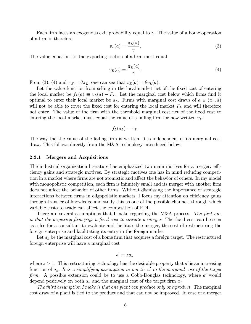Each firm faces an exogenous exit probability equal to  $\gamma$ . The value of a home operation of a firm is therefore

$$
v_L(a) = \frac{\pi_L(a)}{\gamma},\tag{3}
$$

The value equation for the exporting section of a firm must equal

$$
v_E(a) = \frac{\pi_E(a)}{\gamma}.
$$
\n<sup>(4)</sup>

From (3), (4) and  $\pi_E = \theta \pi_L$ , one can see that  $v_E(a) = \theta v_L(a)$ .

Let the value function from selling in the local market net of the fixed cost of entering the local market be  $f_L(a) \equiv v_L(a) - F_L$ . Let the marginal cost below which firms find it optimal to enter their local market be  $a_L$ . Firms with marginal cost draws of  $a \in (a_L, \bar{a})$ will not be able to cover the fixed cost for entering the local market  $F<sub>L</sub>$  and will therefore not enter. The value of the firm with the threshold marginal cost net of the fixed cost to entering the local market must equal the value of a failing firm for now written  $v_F$ :

$$
f_L(a_L) = v_F.
$$

The way the the value of the failing firm is written, it is independent of its marginal cost draw. This follows directly from the M&A technology introduced below.

#### 2.3.1 Mergers and Acquisitions

The industrial organization literature has emphasized two main motives for a merger: efficiency gains and strategic motives. By strategic motives one has in mind reducing competition in a market where firms are not atomistic and affect the behavior of others. In my model with monopolistic competition, each firm is infinitely small and its merger with another firm does not affect the behavior of other firms. Without dismissing the importance of strategic interactions between firms in oligopolistic markets, I focus my attention on efficiency gains through transfer of knowledge and study this as one of the possible channels through which variable costs to trade can affect the composition of FDI.

There are several assumptions that I make regarding the M&A process. The first one is that the acquiring firm pays a fixed cost to initiate a merger. The fixed cost can be seen as a fee for a consultant to evaluate and facilitate the merger, the cost of restructuring the foreign enterprise and facilitating its entry in the foreign market.

Let  $a_h$  be the marginal cost of a home firm that acquires a foreign target. The restructured foreign enterprise will have a marginal cost

$$
a' \equiv za_h,
$$

where  $z > 1$ . This restructuring technology has the desirable property that  $a'$  is an increasing function of  $a_h$ . It is a simplifying assumption to not tie a' to the marginal cost of the target firm. A possible extension could be to use a Cobb-Douglas technology, where  $a'$  would depend positively on both  $a_h$  and the marginal cost of the target firm  $a_f$ .

The third assumption I make is that one plant can produce only one product. The marginal cost draw of a plant is tied to the product and that can not be improved. In case of a merger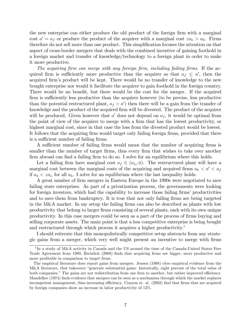the new enterprise can either produce the old product of the foreign firm with a marginal cost  $a' = a_f$  or produce the product of the acquirer with a marginal cost  $z a_h > a_h$ . Firms therefore do not sell more than one product. This simplification focuses the attention on that aspect of cross-border mergers that deals with the combined incentive of gaining foothold in a foreign market and transfer of knowledge/technology to a foreign plant in order to make it more productive.

The acquiring firm can merge with any foreign firm, including failing firms. If the acquired firm is sufficiently more productive than the acquirer so that  $a_f \leq a'$ , then the acquired firm's product will be kept. There would be no transfer of knowledge to the new bought enterprise nor would it facilitate the acquirer to gain foothold in the foreign country. There would be no benefit, but there would be the cost for the merger. If the acquired firm is sufficiently less productive than the acquirer however (to be precise, less productive than the potential restructured plant,  $a_f > a'$  then there will be a gain from the transfer of knowledge and the product of the acquired firm will be divested. The product of the acquirer will be produced. Given however that  $a'$  does not depend on  $a<sub>f</sub>$ , it would be optimal from the point of view of the acquirer to merge with a firm that has the lowest productivity, or highest marginal cost, since in that case the loss from the divested product would be lowest. It follows that the acquiring firm would target only failing foreign firms, provided that there is a sufficient number of failing firms.

A sufficient number of failing firms would mean that the number of acquiring firms is smaller than the number of target firms, thus every firm that wishes to take over another firm abroad can find a failing firm to do so. I solve for an equilibrium where this holds.

Let a failing firm have marginal cost  $a_f \in (a_L, \bar{a})$ . The restructured plant will have a marginal cost between the marginal costs of the acquiring and acquired firms  $a_h < a' < a_f$ if  $a_h < za_L$  for all  $a_h$ . I solve for an equilibrium where the last inequality holds.

A great number of Örm mergers in Eastern Europe in the 1990s were negotiated to save failing state enterprises. As part of a privatization process, the governments were looking for foreign investors, which had the capability to increase those failing firms' productivities and to save them from bankruptcy. It is true that not only failing firms are being targeted in the M&A market. In my setup the failing firms can also be described as plants with low productivity that belong to larger Örms consisting of several plants, each with its own unique productivity. In this case mergers could be seen as a part of the process of firms buying and selling corporate assets. The main point is that a less competitive enterprise is being bought and restructured through which process it acquires a higher productivity.<sup>1</sup>

I should reiterate that this monopolistically competitive setup abstracts from any strategic gains from a merger, which very well might present an incentive to merge with firms

<sup>&</sup>lt;sup>1</sup>In a study of M&A activity in Canada and the US around the time of the Canada-United States Free Trade Agreement from 1989, Breinlich (2008) finds that acquiring firms are bigger, more productive and more profitable in comparison to target firms.

The empirical literature does report gains from mergers. Jensen (1988) cites empirical evidence from the M&A literature, that takeovers "generate substantial gains: historically, eight percent of the total value of both companies." The gains are not redistribution from one firm to another, but rather improved efficiency. Mandelker (1974) finds evidence that mergers can be seen as a mechanism through which the market replaces incompetent management, thus increasing efficiency. Conyon et. al. (2002) find that firms that are acquired by foreign companies show an increase in labor productivity of 13%.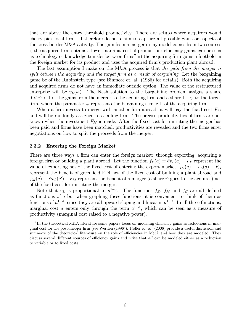that are above the entry threshold productivity. There are setups where acquirers would cherry-pick local Örms. I therefore do not claim to capture all possible gains or aspects of the cross-border M&A activity. The gain from a merger in my model comes from two sources i) the acquired firm obtains a lower marginal cost of production: efficiency gains, can be seen as technology or knowledge transfer between  $\text{firms}^2$  ii) the acquiring firm gains a foothold in the foreign market for its product and uses the acquired firm's production plant abroad.

The last assumption I make on the M&A process is that the gain from the merger is split between the acquiring and the target firm as a result of bargaining. Let the bargaining game be of the Rubinstein type (see Binmore et. al. (1986) for details). Both the acquiring and acquired firms do not have an immediate outside option. The value of the restructured enterprise will be  $v<sub>L</sub>(a')$ . The Nash solution to the bargaining problem assigns a share  $0 < \psi < 1$  of the gains from the merger to the acquiring firm and a share  $1 - \psi$  to the target firm, where the parameter  $\psi$  represents the bargaining strength of the acquiring firm.

When a firm invests to merge with another firm abroad, it will pay the fixed cost  $F_M$ and will be randomly assigned to a failing firm. The precise productivities of firms are not known when the investment  $F_M$  is made. After the fixed cost for initiating the merger has been paid and firms have been matched, productivities are revealed and the two firms enter negotiations on how to split the proceeds from the merger.

#### 2.3.2 Entering the Foreign Market

There are three ways a firm can enter the foreign market: through exporting, acquiring a foreign firm or building a plant abroad. Let the function  $f_E(a) \equiv \theta v_L(a) - F_E$  represent the value of exporting net of the fixed cost of entering the export market,  $f_G(a) \equiv v_L(a) - F_G$ represent the benefit of greenfield FDI net of the fixed cost of building a plant abroad and  $f_M(a) \equiv \psi v_L(a') - F_M$  represent the benefit of a merger (a share  $\psi$  goes to the acquirer) net of the Öxed cost for initiating the merger.

Note that  $v_L$  is proportional to  $a^{1-\sigma}$ . The functions  $f_E$ ,  $f_M$  and  $f_G$  are all defined as functions of a but when graphing these functions, it is convenient to think of them as functions of  $a^{1-\sigma}$ , since they are all upward-sloping and linear in  $a^{1-\sigma}$ . In all three functions, marginal cost a enters only through the term  $a^{1-\sigma}$ , which can be seen as a measure of productivity (marginal cost raised to a negative power).

 $2\text{In the theoretical M&A literature some papers focus on modeling efficiency gains as reductions in mar$ ginal cost for the post-merger Örm (see Werden (1996)). Roller et. al. (2006) provide a useful discussion and summary of the theoretical literature on the role of efficiencies in M&A and how they are modeled. They discuss several different sources of efficiency gains and write that all can be modeled either as a reduction to variable or to fixed costs.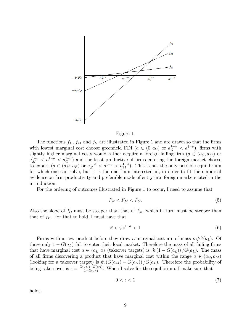



The functions  $f_E$ ,  $f_M$  and  $f_G$  are illustrated in Figure 1 and are drawn so that the firms with lowest marginal cost choose greenfield FDI  $(a \in (0, a_G)$  or  $a_G^{1-\sigma} < a_1^{1-\sigma}$ , firms with slightly higher marginal costs would rather acquire a foreign failing firm  $(a \in (a_G, a_M)$  or  $a_M^{1-\sigma} < a^{1-\sigma} < a_G^{1-\sigma}$  and the least productive of firms entering the foreign market choose to export  $(a \in (a_M, a_E)$  or  $a_E^{1-\sigma} < a_M^{1-\sigma} < a_M^{1-\sigma}$ . This is not the only possible equilibrium for which one can solve, but it is the one I am interested in, in order to fit the empirical evidence on firm productivity and preferable mode of entry into foreign markets cited in the introduction.

For the ordering of outcomes illustrated in Figure 1 to occur, I need to assume that

$$
F_E < F_M < F_G. \tag{5}
$$

Also the slope of  $f_G$  must be steeper than that of  $f_M$ , which in turn must be steeper than that of  $f_E$ . For that to hold, I must have that

$$
\theta < \psi z^{1-\sigma} < 1 \tag{6}
$$

Firms with a new product before they draw a marginal cost are of mass  $m/G(a_L)$ . Of those only  $1 - G(a_L)$  fail to enter their local market. Therefore the mass of all failing firms that have marginal cost  $a \in (a_L, \bar{a})$  (takeover targets) is  $\dot{m} (1 - G(a_L)) / G(a_L)$ . The mass of all firms discovering a product that have marginal cost within the range  $a \in (a_G, a_M)$ (looking for a takeover target) is  $\dot{m} (G(a_M) - G(a_G)) / G(a_L)$ . Therefore the probability of being taken over is  $\epsilon \equiv \frac{G(a_M) - G(a_G)}{1 - G(a_L)}$  $\frac{a_M - G(a_G)}{1 - G(a_L)}$ . When I solve for the equilibrium, I make sure that

$$
0 < \epsilon < 1\tag{7}
$$

holds.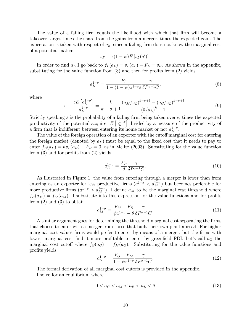The value of a failing firm equals the likelihood with which that firm will become a takeover target times the share from the gains from a merger, times the expected gain. The expectation is taken with respect of  $a_h$ , since a failing firm does not know the marginal cost of a potential match:

$$
v_F = \epsilon (1 - \psi) E[v_L(a')].
$$

In order to find  $a_L$  I go back to  $f_L(a_L) = v_L(a_L) - F_L = v_F$ . As shown in the appendix, substituting for the value function from  $(3)$  and then for profits from  $(2)$  yields

$$
a_L^{1-\sigma} = \frac{F_L}{1 - (1 - \psi)z^{1-\sigma}\varepsilon} \frac{\gamma}{\delta P^{\sigma-1}C},\tag{8}
$$

where

$$
\varepsilon \equiv \frac{\epsilon E\left[a_h^{1-\sigma}\right]}{a_L^{1-\sigma}} = \frac{k}{k-\sigma+1} \frac{\left(a_M/a_L\right)^{k-\sigma+1} - \left(a_G/a_L\right)^{k-\sigma+1}}{\left(\bar{a}/a_L\right)^k - 1}.\tag{9}
$$

Strictly speaking  $\varepsilon$  is the probability of a failing firm being taken over  $\epsilon$ , times the expected productivity of the potential acquirer  $E\left[a_h^{1-\sigma}\right]$  divided by a measure of the productivity of a firm that is indifferent between entering its home market or not  $a_L^{1-\sigma}$ .

The value of the foreign operation of an exporter with the cutoff marginal cost for entering the foreign market (denoted by  $a_E$ ) must be equal to the fixed cost that it needs to pay to enter  $f_E(a_E) = \theta v_L(a_E) - F_E = 0$ , as in Melitz (2003). Substituting for the value function from  $(3)$  and for profits from  $(2)$  yields

$$
a_E^{1-\sigma} = \frac{F_E}{\theta} \frac{\gamma}{\delta P^{\sigma-1} C}.
$$
\n(10)

As illustrated in Figure 1, the value from entering through a merger is lower than from entering as an exporter for less productive firms  $(a^{1-\sigma} < a_M^{1-\sigma})$  but becomes preferable for more productive firms  $(a^{1-\sigma} > a_M^{1-\sigma})$ . I define  $a_M$  to be the marginal cost threshold where  $f_E(a_M) = f_M(a_M)$ . I substitute into this expression for the value functions and for profits from  $(2)$  and  $(3)$  to obtain

$$
a_M^{1-\sigma} = \frac{F_M - F_E}{\psi z^{1-\sigma} - \theta} \frac{\gamma}{\delta P^{\sigma-1} C}.
$$
\n(11)

A similar argument goes for determining the threshold marginal cost separating the firms that choose to enter with a merger from those that built their own plant abroad. For higher marginal cost values firms would prefer to enter by means of a merger, but the firms with lowest marginal cost find it more profitable to enter by greenfield FDI. Let's call  $a_G$  the marginal cost cutoff where  $f_G(a_G) = f_M(a_G)$ . Substituting for the value functions and profits yields

$$
a_G^{1-\sigma} = \frac{F_G - F_M}{1 - \psi z^{1-\sigma}} \frac{\gamma}{\delta P^{\sigma-1} C}.
$$
\n(12)

The formal derivation of all marginal cost cutoffs is provided in the appendix. I solve for an equilibrium where

$$
0 < a_G < a_M < a_E < a_L < \bar{a} \tag{13}
$$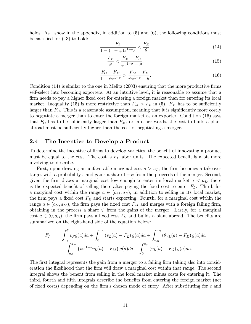holds. As I show in the appendix, in addition to  $(5)$  and  $(6)$ , the following conditions must be satisfied for  $(13)$  to hold:

$$
\frac{F_L}{1 - (1 - \psi)z^{1 - \sigma_{\varepsilon}}} < \frac{F_E}{\theta}.\tag{14}
$$

$$
\frac{F_E}{\theta} < \frac{F_M - F_E}{\psi z^{1-\sigma} - \theta}.\tag{15}
$$

$$
\frac{F_G - F_M}{1 - \psi z^{1 - \sigma}} > \frac{F_M - F_E}{\psi z^{1 - \sigma} - \theta}.
$$
\n(16)

Condition  $(14)$  is similar to the one in Melitz  $(2003)$  ensuring that the more productive firms self-select into becoming exporters. At an intuitive level, it is reasonable to assume that a firm needs to pay a higher fixed cost for entering a foreign market than for entering its local market. Inequality (15) is more restrictive than  $F_M > F_E$  in (5).  $F_M$  has to be sufficiently larger than  $F_E$ . This is a reasonable assumption, meaning that it is significantly more costly to negotiate a merger than to enter the foreign market as an exporter. Condition (16) says that  $F_G$  has to be sufficiently larger than  $F_M$ , or in other words, the cost to build a plant abroad must be sufficiently higher than the cost of negotiating a merger.

#### 2.4 The Incentive to Develop a Product

To determine the incentive of firms to develop varieties, the benefit of innovating a product must be equal to the cost. The cost is  $F_I$  labor units. The expected benefit is a bit more involving to describe.

First, upon drawing an unfavorable marginal cost  $a > a<sub>L</sub>$ , the firm becomes a takeover target with a probability  $\epsilon$  and gains a share  $1 - \psi$  from the proceeds of the merger. Second, given the firm draws a marginal cost low enough to enter its local market  $a < a<sub>L</sub>$ , there is the expected benefit of selling there after paying the fixed cost to enter  $F<sub>L</sub>$ . Third, for a marginal cost within the range  $a \in (a_M, a_E)$ , in addition to selling in its local market, the firm pays a fixed cost  $F_E$  and starts exporting. Fourth, for a marginal cost within the range  $a \in (a_G, a_M)$ , the firm pays the fixed cost  $F_M$  and merges with a foreign failing firm, obtaining in the process a share  $\psi$  from the gains of the merger. Lastly, for a marginal cost  $a \in (0, a_G)$ , the firm pays a fixed cost  $F_G$  and builds a plant abroad. The benefits are summarized on the right-hand side of the equation below:

$$
F_I = \int_{a_L}^{\bar{a}} v_F g(a) da + \int_0^{a_L} (v_L(a) - F_L) g(a) da + \int_{a_M}^{a_E} (\theta v_L(a) - F_E) g(a) da
$$
  
+ 
$$
\int_{a_G}^{a_M} (\psi z^{1-\sigma} v_L(a) - F_M) g(a) da + \int_0^{a_G} (v_L(a) - F_G) g(a) da.
$$

The first integral represents the gain from a merger to a failing firm taking also into consideration the likelihood that the firm will draw a marginal cost within that range. The second integral shows the benefit from selling in the local market minus costs for entering it. The third, fourth and fifth integrals describe the benefits from entering the foreign market (net of fixed costs) depending on the firm's chosen mode of entry. After substituting for  $\epsilon$  and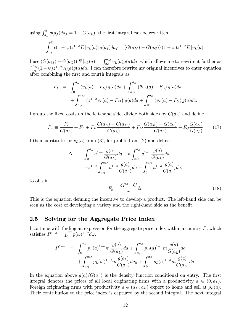using  $\int_{a_L}^{\bar{a}} g(a_f)da_f = 1 - G(a_L)$ , the first integral can be rewritten

$$
\int_{a_L}^{\bar{a}} \epsilon (1 - \psi) z^{1 - \sigma} E[v_L(a)] g(a_f) da_f = (G(a_M) - G(a_G)) (1 - \psi) z^{1 - \sigma} E[v_L(a)]
$$

I use  $(G(a_M) - G(a_G)) E[v_L(a)] = \int_{a_G}^{a_M} v_L(a)g(a)da$ , which allows me to rewrite it further as  $\int_{a_G}^{a_M} (1-\psi) z^{1-\sigma} v_L(a) g(a) da.$  I can therefore rewrite my original incentives to enter equation after combining the Örst and fourth integrals as

$$
F_I = \int_0^{a_L} (v_L(a) - F_L) g(a) da + \int_{a_M}^{a_E} (\theta v_L(a) - F_E) g(a) da
$$
  
+ 
$$
\int_{a_G}^{a_M} (z^{1-\sigma} v_L(a) - F_M) g(a) da + \int_0^{a_G} (v_L(a) - F_G) g(a) da.
$$

I group the fixed costs on the left-hand side, divide both sides by  $G(a_L)$  and define

$$
F_x \equiv \frac{F_I}{G(a_L)} + F_L + F_E \frac{G(a_E) - G(a_M)}{G(a_L)} + F_M \frac{G(a_M) - G(a_G)}{G(a_L)} + F_G \frac{G(a_G)}{G(a_L)}\tag{17}
$$

I then substitute for  $v_L(a)$  from (3), for profits from (2) and define

$$
\Delta \equiv \int_0^{a_L} a^{1-\sigma} \frac{g(a)}{G(a_L)} da + \theta \int_{a_M}^{a_E} a^{1-\sigma} \frac{g(a)}{G(a_L)} da + z^{1-\sigma} \int_{a_G}^{a_M} a^{1-\sigma} \frac{g(a)}{G(a_L)} da + \int_0^{a_G} a^{1-\sigma} \frac{g(a)}{G(a_L)} da,
$$

to obtain

$$
F_x = \frac{\delta P^{\sigma - 1} C}{\gamma} \Delta.
$$
\n(18)

This is the equation defining the incentive to develop a product. The left-hand side can be seen as the cost of developing a variety and the right-hand side as the benefit.

### 2.5 Solving for the Aggregate Price Index

I continue with finding an expression for the aggregate price index within a country  $P$ , which satisfies  $P^{1-\sigma} = \int_0^{m^c} p(\omega)^{1-\sigma} d\omega$ .

$$
P^{1-\sigma} = \int_0^{a_L} p_L(a)^{1-\sigma} m \frac{g(a)}{G(a_L)} da + \int_{a_M}^{a_E} p_E(a)^{1-\sigma} m \frac{g(a)}{G(a_L)} da + \int_{a_G}^{a_M} p_L(a')^{1-\sigma} m \frac{g(a_h)}{G(a_L)} da_h + \int_0^{a_G} p_L(a)^{1-\sigma} m \frac{g(a)}{G(a_L)} da.
$$

In the equation above  $g(a)/G(a_L)$  is the density function conditional on entry. The first integral denotes the prices of all local originating firms with a productivity  $a \in (0, a<sub>L</sub>)$ . Foreign originating firms with productivity  $a \in (a_M, a_E)$  export to home and sell at  $p_E(a)$ . Their contribution to the price index is captured by the second integral. The next integral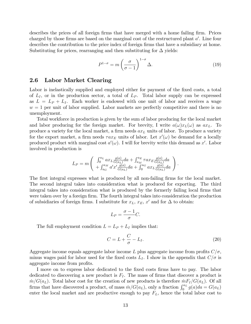describes the prices of all foreign firms that have merged with a home failing firm. Prices charged by those firms are based on the marginal cost of the restructured plant  $a'$ . Line four describes the contribution to the price index of foreign firms that have a subsidiary at home. Substituting for prices, rearranging and then substituting for  $\Delta$  yields:

$$
P^{1-\sigma} = m \left(\frac{\sigma}{\sigma - 1}\right)^{1-\sigma} \Delta.
$$
 (19)

#### 2.6 Labor Market Clearing

Labor is inelastically supplied and employed either for payment of the fixed costs, a total of  $L_I$ , or in the production sector, a total of  $L_P$ . Total labor supply can be expressed as  $L = L_P + L_I$ . Each worker is endowed with one unit of labor and receives a wage  $w = 1$  per unit of labor supplied. Labor markets are perfectly competitive and there is no unemployment.

Total workforce in production is given by the sum of labor producing for the local market and labor producing for the foreign market. For brevity, I write  $a(\omega)x_L(\omega)$  as  $ax_L$ . To produce a variety for the local market, a firm needs  $ax_L$  units of labor. To produce a variety for the export market, a firm needs  $\tau a x_E$  units of labor. Let  $x'(\omega)$  be demand for a locally produced product with marginal cost  $a'(\omega)$ . I will for brevity write this demand as x'. Labor involved in production is

$$
L_P = m \left( \begin{array}{c} \int_0^{a_L} a x_L \frac{g(a)}{G(a_L)} da + \int_{a_M}^{a_E} \tau a x_E \frac{g(a)}{G(a_L)} da \\ + \int_{a_G}^{a_M} a' x' \frac{g(a)}{G(a_L)} da + \int_0^{a_G} a x_L \frac{g(a)}{G(a_L)} da \end{array} \right).
$$

The first integral expresses what is produced by all non-failing firms for the local market. The second integral takes into consideration what is produced for exporting. The third integral takes into consideration what is produced by the formerly failing local firms that were taken over by a foreign firm. The fourth integral takes into consideration the production of subsidiaries of foreign firms. I substitute for  $x_L, x_E, x'$  and for  $\Delta$  to obtain:

$$
L_P = \frac{\sigma - 1}{\sigma}C.
$$

The full employment condition  $L = L_P + L_I$  implies that:

$$
C = L + \frac{C}{\sigma} - L_I.
$$
\n(20)

Aggregate income equals aggregate labor income L plus aggregate income from profits  $C/\sigma$ , minus wages paid for labor used for the fixed costs  $L<sub>I</sub>$ . I show in the appendix that  $C/\sigma$  is aggregate income from profits.

I move on to express labor dedicated to the fixed costs firms have to pay. The labor dedicated to discovering a new product is  $F_I$ . The mass of firms that discover a product is  $m/G(a_L)$ . Total labor cost for the creation of new products is therefore  $mF_I/G(a_L)$ . Of all firms that have discovered a product, of mass  $m/G(a_L)$ , only a fraction  $\int_0^{a_L} g(a)da = G(a_L)$ enter the local market and are productive enough to pay  $F_L$ , hence the total labor cost to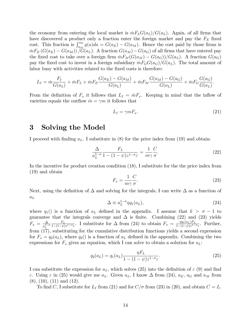the economy from entering the local market is  $mF_L G(a_L)/G(a_L)$ . Again, of all firms that have discovered a product only a fraction enter the foreign market and pay the  $F_E$  fixed cost. This fraction is  $\int_{a_M}^{a_E} g(a)da = G(a_E) - G(a_M)$ . Hence the cost paid by those firms is  $mF_E (G(a_E) - G(a_M)) / G(a_L)$ . A fraction  $G(a_M) - G(a_G)$  of all firms that have entered pay the fixed cost to take over a foreign firm  $\dot{m}F_M(G(a_M) - G(a_G))/G(a_L)$ . A fraction  $G(a_G)$ pay the fixed cost to invest in a foreign subsidiary  $mF_G G(a_G)/G(a_L)$ . The total amount of labor busy with activities related to the fixed costs is therefore:

$$
L_I = \dot{m} \frac{F_I}{G(a_L)} + \dot{m} F_L + \dot{m} F_E \frac{G(a_E) - G(a_M)}{G(a_L)} + \dot{m} F_M \frac{G(a_M) - G(a_G)}{G(a_L)} + \dot{m} F_G \frac{G(a_G)}{G(a_L)}.
$$

From the definition of  $F_x$  it follows that  $L_I = \dot{m} F_x$ . Keeping in mind that the inflow of varieties equals the outflow  $\dot{m} = \gamma m$  it follows that

$$
L_I = \gamma m F_x. \tag{21}
$$

# 3 Solving the Model

I proceed with finding  $a_L$ . I substitute in (8) for the price index from (19) and obtain:

$$
\frac{\Delta}{a_L^{1-\sigma}} \frac{F_L}{1 - (1-\psi)z^{1-\sigma}\varepsilon} = \frac{1}{m\gamma} \frac{C}{\sigma}.
$$
\n(22)

In the incentive for product creation condition (18), I substitute for the the price index from (19) and obtain

$$
F_x = \frac{1}{m\gamma} \frac{C}{\sigma}.
$$
\n(23)

Next, using the definition of  $\Delta$  and solving for the integrals, I can write  $\Delta$  as a function of  $a_{\cal L}$ 

$$
\Delta \equiv a_L^{1-\sigma} \eta q_1(a_L),\tag{24}
$$

where  $q_1()$  is a function of  $a_L$  defined in the appendix. I assume that  $k > \sigma - 1$  to guarantee that the integrals converge and  $\Delta$  is finite. Combining (22) and (23) yields  $F_x = \frac{\Delta}{a^{1-}}$  $a_L^{1-\sigma}$  $F_L$  $\frac{F_L}{1-(1-\psi)z^{1-\sigma_{\varepsilon}}}.$  I substitute for  $\Delta$  from (24) to obtain  $F_x = \frac{\eta q_1(a_L)F_L}{1-(1-\psi)z^{1-\sigma_{\varepsilon}}}.$  $\frac{\eta q_1(a_L) r_L}{1-(1-\psi)z^{1-\sigma_{\varepsilon}}}.$  Further, from (17), substituting for the cumulative distribution functions yields a second expression for  $F_x = q_2(a_L)$ , where  $q_2()$  is a function of  $a_L$  defined in the appendix. Combining the two expressions for  $F_x$  gives an equation, which I can solve to obtain a solution for  $a_L$ :

$$
q_2(a_L) = q_1(a_L) \frac{\eta F_L}{1 - (1 - \psi) z^{1 - \sigma_{\varepsilon}}}.
$$
\n(25)

I can substitute the expression for  $a<sub>L</sub>$ , which solves (25) into the definition of  $\varepsilon$  (9) and find  $\varepsilon$ . Using  $\varepsilon$  in (25) would give me  $a_L$ . Given  $a_L$ , I know  $\Delta$  from (24),  $a_E$ ,  $a_G$  and  $a_M$  from (8), (10), (11) and (12).

To find C, I substitute for  $L_I$  from (21) and for  $C/\sigma$  from (23) in (20), and obtain  $C = L$ .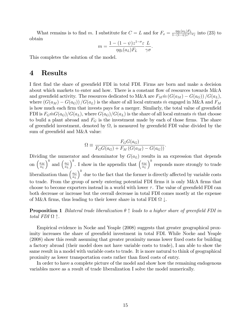What remains is to find m. I substitute for  $C = L$  and for  $F_x = \frac{\eta q_1(a_L)F_L}{1-(1-\eta)x^{1-\eta}}$  $\frac{\eta q_1(a_L)F_L}{1-(1-\psi)z^{1-\sigma}\varepsilon}$  into (23) to obtain

$$
m = \frac{1 - (1 - \psi)z^{1 - \sigma_{\varepsilon}}}{\eta q_1(a_L)F_L} \frac{L}{\gamma \sigma}.
$$

This completes the solution of the model.

# 4 Results

I first find the share of greenfield FDI in total FDI. Firms are born and make a decision about which markets to enter and how. There is a constant flow of resources towards  $M\&A$ and greenfield activity. The resources dedicated to M&A are  $F_M \dot{m} (G(a_M) - G(a_G)) / G(a_L)$ , where  $(G(a_M) - G(a_G)) / G(a_L)$  is the share of all local entrants m engaged in M&A and  $F_M$ is how much each firm that invests pays for a merger. Similarly, the total value of greenfield FDI is  $F_G \dot{m} G(a_G)/G(a_L)$ , where  $G(a_G)/G(a_L)$  is the share of all local entrants m that choose to build a plant abroad and  $F_G$  is the investment made by each of those firms. The share of greenfield investment, denoted by  $\Omega$ , is measured by greenfield FDI value divided by the sum of greenfield and M&A value:

$$
\Omega \equiv \frac{F_G G(a_G)}{F_G G(a_G) + F_M (G(a_M) - G(a_G))}.
$$

Dividing the numerator and denominator by  $G(a<sub>L</sub>)$  results in an expression that depends on  $\left(\frac{a_M}{a_L}\right)$  $a_L$  $\int^k$  and  $\left(\frac{a_G}{a_L}\right)^k$  $a_L$  $\int_0^k$ . I show in the appendix that  $\left(\frac{a_M}{a_M}\right)^k$  $a_L$  $k$  responds more strongly to trade liberalization than  $\left(\frac{a_G}{a_L}\right)$ a<sup>L</sup>  $\int_0^k$  due to the fact that the former is directly affected by variable costs to trade. From the group of newly entering potential FDI firms it is only M&A firms that choose to become exporters instead in a world with lower  $\tau$ . The value of greenfield FDI can both decrease or increase but the overall decrease in total FDI comes mostly at the expense of M&A firms, thus leading to their lower share in total FDI  $\Omega \downarrow$ .

**Proposition 1** Bilateral trade liberalization  $\theta \uparrow$  leads to a higher share of greenfield FDI in total FDI  $\Omega$   $\uparrow$ .

Empirical evidence in Nocke and Yeaple (2008) suggests that greater geographical proximity increases the share of greenfield investment in total FDI. While Nocke and Yeaple (2008) show this result assuming that greater proximity means lower fixed costs for building a factory abroad (their model does not have variable costs to trade), I am able to show the same result in a model with variable costs to trade. It is more natural to think of geographical proximity as lower transportation costs rather than fixed costs of entry.

In order to have a complete picture of the model and show how the remaining endogenous variables move as a result of trade liberalization I solve the model numerically.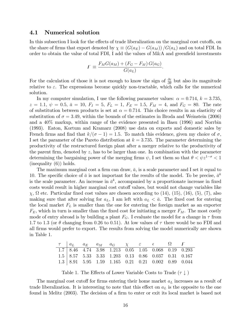#### 4.1 Numerical solution

In this subsection I look for the effects of trade liberalization on the marginal cost cutoffs, on the share of firms that export denoted by  $\chi \equiv (G(a_E) - G(a_M)) / G(a_L)$  and on total FDI. In order to obtain the value of total FDI, I add the values of  $M\&A$  and greenfield investments

$$
F \equiv \frac{F_M G(a_M) + (F_G - F_M) G(a_G)}{G(a_L)}.
$$

For the calculation of those it is not enough to know the sign of  $\frac{\partial \varepsilon}{\partial \theta}$  but also its magnitude relative to  $\varepsilon$ . The expressions become quickly non-tractable, which calls for the numerical solution.

In my computer simulation, I use the following parameter values:  $\alpha = 0.714$ ,  $k = 3.735$ ,  $z = 1.1, \ \psi = 0.5, \ \bar{a} = 10, \ F_I = 5, \ F_L = 1, \ F_E = 1.5, \ F_M = 4, \text{ and } F_G = 80.$  The rate of substitution between products is set at  $\alpha = 0.714$ . This choice results in an elasticity of substitution of  $\sigma = 3.49$ , within the bounds of the estimates in Broda and Weinstein (2006) and a 40% markup, within range of the evidence presented in Basu (1996) and Norrbin (1993). Eaton, Kortum and Kramarz (2008) use data on exports and domestic sales by French firms and find that  $k/(\sigma-1) = 1.5$ . To match this evidence, given my choice of  $\sigma$ , I set the parameter of the Pareto distribution at  $k = 3.735$ . The parameter determining the productivity of the restructured foreign plant after a merger relative to the productivity of the parent firm, denoted by  $z$ , has to be larger than one. In combination with the parameter determining the bargaining power of the merging firms  $\psi$ , I set them so that  $\theta < \psi z^{1-\sigma} < 1$ (inequality (6)) holds.

The maximum marginal cost a firm can draw,  $\bar{a}$ , is a scale parameter and I set it equal to 10. The specific choice of  $\bar{a}$  is not important for the results of the model. To be precise,  $\bar{a}^k$ is the scale parameter. An increase in  $\bar{a}^k$ , accompanied by a proportionate increase in fixed costs would result in higher marginal cost cutoff values, but would not change variables like  $\chi$ ,  $\Omega$  etc. Particular fixed cost values are chosen according to (14), (15), (16), (5), (7), also making sure that after solving for  $a_L$ , I am left with  $a_L < \bar{a}$ . The fixed cost for entering the local market  $F<sub>L</sub>$  is smaller than the one for entering the foreign market as an exporter  $F_E$ , which in turn is smaller than the fixed cost for initiating a merger  $F_M$ . The most costly mode of entry abroad is by building a plant  $F_G$ . I evaluate the model for a change in  $\tau$  from 1.7 to 1.3 (or  $\theta$  changing from 0.26 to 0.51). At low values of  $\tau$  there would be no FDI and all Örms would prefer to export. The results from solving the model numerically are shown in Table 1.

|  |  |  | $\tau$   $a_L$ $a_E$ $a_M$ $a_G$ $\chi$ $\varepsilon$ $\epsilon$ $\Omega$ F |  |
|--|--|--|-----------------------------------------------------------------------------|--|
|  |  |  | $\overline{1.7}$ 8.46 4.74 3.98 1.213 0.05 1.05 0.068 0.19 0.293            |  |
|  |  |  | $1.5$   8.57 5.33 3.33 1.203 0.13 0.86 0.037 0.31 0.167                     |  |
|  |  |  | $1.3$   8.91 5.95 1.59 1.165 0.21 0.21 0.002 0.89 0.044                     |  |

Table 1. The Effects of Lower Variable Costs to Trade  $(\tau \downarrow)$ 

The marginal cost cutoff for firms entering their home market  $a<sub>L</sub>$  increases as a result of trade liberalization. It is interesting to note that this effect on  $a<sub>L</sub>$  is the opposite to the one found in Melitz (2003). The decision of a firm to enter or exit its local market is based not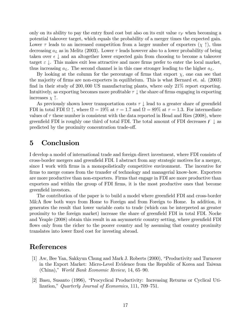only on its ability to pay the entry fixed cost but also on its exit value  $v_F$  when becoming a potential takeover target, which equals the probability of a merger times the expected gain. Lower  $\tau$  leads to an increased competition from a larger number of exporters  $(\chi \uparrow)$ , thus decreasing  $a<sub>L</sub>$  as in Melitz (2003). Lower  $\tau$  leads however also to a lower probability of being taken over  $\epsilon \downarrow$  and an altogether lower expected gain from choosing to become a takeover target  $\varepsilon \downarrow$ . This makes exit less attractive and more firms prefer to enter the local market, thus increasing  $a_L$ . The second channel is in this case stronger leading to the higher  $a_L$ .

By looking at the column for the percentage of firms that export  $\chi$ , one can see that the majority of firms are non-exporters in equilibrium. This is what Bernard et. al. (2003) find in their study of 200,000 US manufacturing plants, where only  $21\%$  report exporting. Intuitively, as exporting becomes more profitable  $\tau \downarrow$  the share of firms engaging in exporting increases  $\chi$   $\uparrow$ .

As previously shown lower transportation costs  $\tau \downarrow$  lead to a greater share of greenfield FDI in total FDI  $\Omega$   $\uparrow$ , where  $\Omega = 19\%$  at  $\tau = 1.7$  and  $\Omega = 89\%$  at  $\tau = 1.3$ . For intermediate values of  $\tau$  these number is consistent with the data reported in Head and Ries (2008), where greenfield FDI is roughly one third of total FDI. The total amount of FDI decreases  $\mathcal{F} \downarrow$  as predicted by the proximity concentration trade-off.

# 5 Conclusion

I develop a model of international trade and foreign direct investment, where FDI consists of cross-border mergers and greenfield FDI. I abstract from any strategic motives for a merger, since I work with Örms in a monopolistically competitive environment. The incentive for firms to merge comes from the transfer of technology and managerial know-how. Exporters are more productive than non-exporters. Firms that engage in FDI are more productive than exporters and within the group of FDI firms, it is the most productive ones that become greenfield investors.

The contribution of the paper is to build a model where greenfield FDI and cross-border M&A flow both ways from Home to Foreign and from Foreign to Home. In addition, it generates the result that lower variable costs to trade (which can be interpreted as greater proximity to the foreign market) increase the share of greenfield FDI in total FDI. Nocke and Yeaple (2008) obtain this result in an asymmetric country setting, where greenfield FDI flows only from the richer to the poorer country and by assuming that country proximity translates into lower fixed cost for investing abroad.

# References

- [1] Aw, Bee Yan, Sakkyun Chung and Mark J. Roberts (2000), "Productivity and Turnover in the Export Market: Micro-Level Evidence from the Republic of Korea and Taiwan (China)," World Bank Economic Review, 14, 65-90.
- [2] Basu, Susanto (1996), "Procyclical Productivity: Increasing Returns or Cyclical Utilization," Quarterly Journal of Economics, 111, 709–751.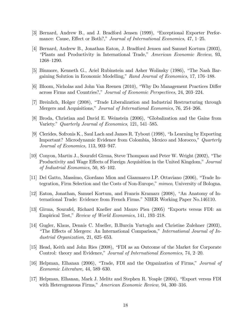- [3] Bernard, Andrew B., and J. Bradford Jensen (1999), "Exceptional Exporter Performance: Cause, Effect or Both?," Journal of International Economics, 47, 1-25.
- [4] Bernard, Andrew B., Jonathan Eaton, J. Bradford Jensen and Samuel Kortum (2003), ìPlants and Productivity in International Trade,î American Economic Review, 93, 1268-1290.
- [5] Binmore, Kenneth G., Ariel Rubinstein and Asher Wolinsky (1986), "The Nash Bargaining Solution in Economic Modelling," Rand Journal of Economics, 17, 176–188.
- [6] Bloom, Nicholas and John Van Reenen (2010), "Why Do Management Practices Differ across Firms and Countries?," Journal of Economic Perspectives, 24, 203-224.
- [7] Breinlich, Holger (2008), "Trade Liberalization and Industrial Restructuring through Mergers and Acquisitions," Journal of International Economics, 76, 254–266.
- [8] Broda, Christian and David E. Weinstein (2006), "Globalization and the Gains from Variety." Quarterly Journal of Economics, 121, 541–585.
- [9] Clerides, Sofronis K., Saul Lach and James R. Tybout  $(1998)$ , "Is Learning by Exporting Important? Microdynamic Evidence from Colombia, Mexico and Morocco,<sup>n</sup> Quarterly Journal of Economics,  $113$ ,  $903-947$ .
- [10] Conyon, Martin J., Sourafel Girma, Steve Thompson and Peter W. Wright (2002), "The Productivity and Wage Effects of Foreign Acquisition in the United Kingdom," Journal of Industrial Economics, 50, 85–102.
- [11] Del Gatto, Massimo, Giordano Mion and Gianmarco I.P. Ottaviano (2006), "Trade Integration, Firm Selection and the Costs of Non-Europe," mimeo, University of Bologna.
- [12] Eaton, Jonathan, Samuel Kortum, and Francis Kramarz (2008), "An Anatomy of International Trade: Evidence from French Firms." NBER Working Paper No.146110.
- [13] Girma, Sourafel, Richard Kneller and Mauro Pisu (2005) "Exports versus FDI: an Empirical Test," Review of World Economics, 141, 193–218.
- [14] Gugler, Klaus, Dennis C. Mueller, B.Burcin Yurtoglu and Christine Zulehner (2003), "The Effects of Mergers: An International Comparison," International Journal of Industrial Organization, 21, 625–653.
- [15] Head, Keith and John Ries (2008), "FDI as an Outcome of the Market for Corporate Control: theory and Evidence," Journal of International Economics, 74, 2–20.
- [16] Helpman, Elhanan (2006), "Trade, FDI and the Organization of Firms," Journal of Economic Literature, 44, 589–630.
- [17] Helpman, Elhanan, Mark J. Melitz and Stephen R. Yeaple (2004), "Export versus FDI with Heterogeneous Firms," American Economic Review, 94, 300–316.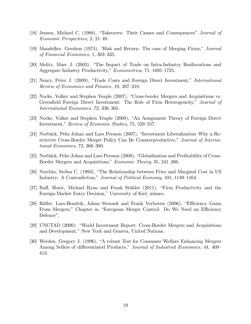- [18] Jensen, Michael C. (1988), "Takeovers: Their Causes and Consequences" Journal of  $Economic$  Perspectives, 2, 21–48.
- [19] Mandelker, Gershon (1974), "Risk and Return: The case of Merging Firms," Journal of Financial Economics,  $1, 303-335$ .
- [20] Melitz, Marc J. (2003), "The Impact of Trade on Intra-Industry Reallocations and Aggregate Industry Productivity," Econometrica, 71, 1695–1725.
- [21] Neary, Peter J. (2009), "Trade Costs and Foreign Direct Investment," *International* Review of Economics and Finance, 18, 207–218.
- [22] Nocke, Volker and Stephen Yeaple (2007), "Cross-border Mergers and Acquisitions vs. Greenfield Foreign Direct Investment: The Role of Firm Heterogeneity," Journal of International Economics, 72, 336–365.
- [23] Nocke, Volker and Stephen Yeaple (2008), "An Assignment Theory of Foreign Direct Investment," Review of Economic Studies, 75, 529–557.
- [24] Norbäck, Pehr-Johan and Lars Persson  $(2007)$ , "Investment Liberalization–Why a Restrictive Cross-Border Merger Policy Can Be Counterproductive," Journal of International Economics,  $72, 366-380$ .
- [25] Norbäck, Pehr-Johan and Lars Persson (2008), "Globalization and Profitability of Cross-Border Mergers and Acquisitions," Economic Theory, 35, 241-266.
- [26] Norrbin, Stefan C. (1993), "The Relationship between Price and Marginal Cost in US Industry: A Contradiction," Journal of Political Economy, 101, 1149–1164.
- [27] Raff, Horst, Michael Ryan and Frank Stähler (2011), "Firm Productivity and the Foreign-Market Entry Decision," University of Kiel, mimeo.
- [28] Röller, Lars-Hendrik, Johan Stennek and Frank Verboven (2006), "Efficiency Gains From Mergers," Chapter in "European Merger Control: Do We Need an Efficiency Defence".
- [29] UNCTAD (2000): "World Investment Report: Cross-Border Mergers and Acquisitions and Development," New York and Geneva, United Nations.
- [30] Werden, Gregory J. (1996), "A robust Test for Consumer Welfare Enhancing Mergers Among Sellers of differentiated Products," Journal of Industrial Economics, 44, 409 413.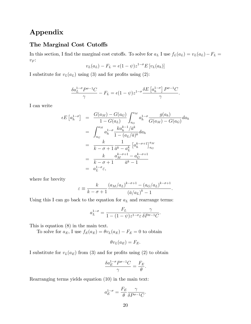# Appendix

#### The Marginal Cost Cutoffs

In this section, I find the marginal cost cutoffs. To solve for  $a_L$  I use  $f_L(a_L) = v_L(a_L) - F_L =$  $v_F \colon$ 

$$
v_L(a_L) - F_L = \epsilon (1 - \psi) z^{1 - \sigma} E \left[ v_L(a_h) \right]
$$

I substitute for  $v_L(a_L)$  using (3) and for profits using (2):

$$
\frac{\delta a_L^{1-\sigma}P^{\sigma-1}C}{\gamma}-F_L=\epsilon(1-\psi)z^{1-\sigma}\frac{\delta E\left[a_h^{1-\sigma}\right]P^{\sigma-1}C}{\gamma}.
$$

I can write

$$
\epsilon E\left[a_h^{1-\sigma}\right] = \frac{G(a_M) - G(a_G)}{1 - G(a_L)} \int_{a_G}^{a_M} a_h^{1-\sigma} \frac{g(a_h)}{G(a_M) - G(a_G)} da_h
$$
  

$$
= \int_{a_G}^{a_M} a_h^{1-\sigma} \frac{k a_h^{k-1} / \bar{a}^k}{1 - (a_L/\bar{a})^k} da_h
$$
  

$$
= \frac{k}{k - \sigma + 1} \frac{1}{\bar{a}^k - a_L^k} \left[a_h^{k-\sigma+1}\right]_{a_G}^{a_M}
$$
  

$$
= \frac{k}{k - \sigma + 1} \frac{a_M^{k-\sigma+1} - a_G^{k-\sigma+1}}{\bar{a}^k - 1}
$$
  

$$
= a_L^{1-\sigma} \epsilon,
$$

where for brevity

$$
\varepsilon \equiv \frac{k}{k - \sigma + 1} \frac{\left(a_M/a_L\right)^{k - \sigma + 1} - \left(a_G/a_L\right)^{k - \sigma + 1}}{\left(\bar{a}/a_L\right)^k - 1}
$$

:

Using this I can go back to the equation for  $a<sub>L</sub>$  and rearrange terms:

$$
a_L^{1-\sigma} = \frac{F_L}{1 - (1 - \psi)z^{1-\sigma}\varepsilon} \frac{\gamma}{\delta P^{\sigma-1}C}.
$$

This is equation (8) in the main text.

To solve for  $a_E$ , I use  $f_E(a_E) = \theta v_L(a_E) - F_E = 0$  to obtain

$$
\theta v_L(a_E) = F_E.
$$

I substitute for  $v_L(a_E)$  from (3) and for profits using (2) to obtain

$$
\frac{\delta a_E^{1-\sigma} P^{\sigma-1} C}{\gamma} = \frac{F_E}{\theta}.
$$

Rearranging terms yields equation (10) in the main text:

$$
a_E^{1-\sigma} = \frac{F_E}{\theta} \frac{\gamma}{\delta P^{\sigma-1} C}.
$$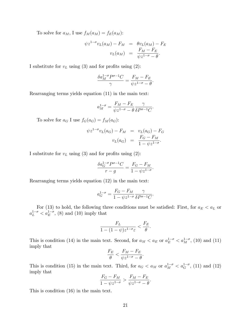To solve for  $a_M$ , I use  $f_M(a_M) = f_E(a_M)$ :

$$
\psi z^{1-\sigma} v_L(a_M) - F_M = \theta v_L(a_M) - F_E
$$

$$
v_L(a_M) = \frac{F_M - F_E}{\psi z^{1-\sigma} - \theta}.
$$

I substitute for  $v<sub>L</sub>$  using (3) and for profits using (2):

$$
\frac{\delta a_M^{1-\sigma} P^{\sigma-1} C}{\gamma} = \frac{F_M - F_E}{\psi z^{1-\sigma} - \theta}.
$$

Rearranging terms yields equation (11) in the main text:

$$
a_M^{1-\sigma} = \frac{F_M - F_E}{\psi z^{1-\sigma} - \theta} \frac{\gamma}{\delta P^{\sigma-1} C}.
$$

To solve for  $a_G I$  use  $f_G(a_G) = f_M(a_G)$ :

$$
\psi z^{1-\sigma} v_L(a_G) - F_M = v_L(a_G) - F_G
$$

$$
v_L(a_G) = \frac{F_G - F_M}{1 - \psi z^{1-\sigma}}.
$$

I substitute for  $v<sub>L</sub>$  using (3) and for profits using (2):

$$
\frac{\delta a_G^{1-\sigma} P^{\sigma-1} C}{r-g} = \frac{F_G - F_M}{1 - \psi z^{1-\sigma}}.
$$

Rearranging terms yields equation (12) in the main text:

$$
a_G^{1-\sigma} = \frac{F_G - F_M}{1 - \psi z^{1-\sigma}} \frac{\gamma}{\delta P^{\sigma-1} C}.
$$

For (13) to hold, the following three conditions must be satisfied: First, for  $a_E < a_L$  or  $a_L^{1-\sigma} < a_E^{1-\sigma}$ , (8) and (10) imply that

$$
\frac{F_L}{1 - (1 - \psi)z^{1 - \sigma_{\varepsilon}}} < \frac{F_E}{\theta}.
$$

This is condition (14) in the main text. Second, for  $a_M < a_E$  or  $a_E^{1-\sigma} < a_M^{1-\sigma}$ , (10) and (11) imply that

$$
\frac{F_E}{\theta} < \frac{F_M - F_E}{\psi z^{1-\sigma} - \theta}.
$$

This is condition (15) in the main text. Third, for  $a_G < a_M$  or  $a_M^{1-\sigma} < a_G^{1-\sigma}$ , (11) and (12) imply that

$$
\frac{F_G - F_M}{1 - \psi z^{1 - \sigma}} > \frac{F_M - F_E}{\psi z^{1 - \sigma} - \theta}.
$$

This is condition (16) in the main text.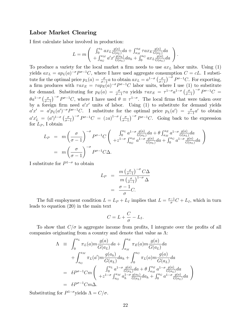#### Labor Market Clearing

I first calculate labor involved in production:

$$
L = m \left( \begin{array}{c} \int_0^{a_L} a x_L \frac{g(a)}{G(a_L)} da + \int_{a_M}^{a_E} \tau a x_E \frac{g(a)}{G(a_L)} da \\ + \int_{a_G}^{a_M} a' x' \frac{g(a_h)}{G(a_L)} da_h + \int_0^{a_G} a x_L \frac{g(a)}{G(a_L)} da \end{array} \right).
$$

To produce a variety for the local market a firm needs to use  $ax_L$  labor units. Using (1) yields  $ax_L = ap_L(a)^{-\sigma}P^{\sigma-1}C$ , where I have used aggregate consumption  $C = cL$ . I substitute for the optimal price  $p_L(a) = \frac{\sigma}{\sigma - 1} a$  to obtain  $ax_L = a^{1-\sigma} \left( \frac{\sigma}{\sigma - 1} \right)$  $\sigma - 1$  $\int_{0}^{-\sigma} P^{\sigma-1} C$ . For exporting, a firm produces with  $\tau a x_E = \tau a p_E(a)^{-\sigma} P^{\sigma-1} C$  labor units, where I use (1) to substitute for demand. Substituting for  $p_E(a) = \frac{\sigma}{\sigma - 1} \tau a$  yields  $\tau a x_E = \tau^{1-\sigma} a^{1-\sigma} \left( \frac{\sigma}{\sigma - 1} \right)$  $\sigma-1$  $\int^{-\sigma} P^{\sigma-1}C =$  $\theta a^{1-\sigma} \left(\frac{\sigma}{\sigma-1}\right)^{-\sigma} P^{\sigma-1}C$ , where I have used  $\theta \equiv \tau^{1-\sigma}$ . The local firms that were taken over by a foreign firm need  $a'x'$  units of labor. Using (1) to substitute for demand yields  $a'x' = a'p_L(a')^{-\sigma}P^{\sigma-1}C$ . I substitute for the optimal price  $p_L(a') = \frac{\sigma}{\sigma-1}a'$  to obtain  $\sigma-1$  $a'x'_L = (a')^{1-\sigma} \left(\frac{\sigma}{\sigma-1}\right)$  $\sigma-1$  $\int_{0}^{-\sigma} P^{\sigma-1}C = (za)^{1-\sigma} \left(\frac{\sigma}{\sigma-1}\right)$  $\sigma-1$  $\int_{0}^{-\sigma} P^{\sigma-1} C$ . Going back to the expression for  $L_P$ , I obtain

$$
L_P = m \left(\frac{\sigma}{\sigma - 1}\right)^{-\sigma} P^{\sigma - 1} C \left(\begin{array}{c} \int_0^{a_L} a^{1 - \sigma} \frac{g(a)}{G(a_L)} da + \theta \int_{a_M}^{a_E} a^{1 - \sigma} \frac{g(a)}{G(a_L)} da \\ + z^{1 - \sigma} \int_{a_G}^{a_M} a^{1 - \sigma} \frac{g(a)}{G(a_L)} da + \int_0^{a_G} a^{1 - \sigma} \frac{g(a)}{G(a_L)} da \end{array}\right)
$$
  
= 
$$
m \left(\frac{\sigma}{\sigma - 1}\right)^{-\sigma} P^{\sigma - 1} C \Delta.
$$

I substitute for  $P^{1-\sigma}$  to obtain

$$
L_P = \frac{m\left(\frac{\sigma}{\sigma - 1}\right)^{-\sigma} C\Delta}{m\left(\frac{\sigma}{\sigma - 1}\right)^{1-\sigma}\Delta}
$$

$$
= \frac{\sigma - 1}{\sigma}C.
$$

The full employment condition  $L = L_P + L_I$  implies that  $L = \frac{\sigma - 1}{\sigma}C + L_I$ , which in turn leads to equation (20) in the main text

$$
C = L + \frac{C}{\sigma} - L_I.
$$

To show that  $C/\sigma$  is aggregate income from profits, I integrate over the profits of all companies originating from a country and denote that value as  $\Lambda$ :

$$
\Lambda = \int_{0}^{a_{L}} \pi_{L}(a) m \frac{g(a)}{G(a_{L})} da + \int_{a_{M}}^{a_{E}} \pi_{E}(a) m \frac{g(a)}{G(a_{L})} da \n+ \int_{a_{G}}^{a_{M}} \pi_{L}(a') m \frac{g(a_{h})}{G(a_{L})} da_{h} + \int_{0}^{a_{G}} \pi_{L}(a) m \frac{g(a)}{G(a_{L})} da \n= \delta P^{\sigma-1} C m \left( \int_{0}^{a_{L}} \frac{a^{1-\sigma} g(a)}{G(a_{L})} da + \theta \int_{a_{M}}^{a_{E}} \frac{a^{1-\sigma} g(a)}{G(a_{L})} da \right) \n= \delta P^{\sigma-1} C m \Delta.
$$

Substituting for  $P^{1-\sigma}$  yields  $\Lambda = C/\sigma$ .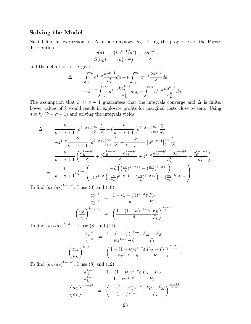## Solving the Model

Next I find an expression for  $\Delta$  in one unknown  $a_L$ . Using the properties of the Pareto distribution

$$
\frac{g(a)}{G(a_L)} = \frac{\left(ka^{k-1}/\bar{a}^k\right)}{\left(a_L^k/\bar{a}^k\right)} = \frac{ka^{k-1}}{a_L^k},
$$

and the definition for  $\Delta$  gives:

$$
\Delta = \int_0^{a_L} a^{1-\sigma} \frac{k a^{k-1}}{a_L^k} da + \theta \int_{a_M}^{a_E} a^{1-\sigma} \frac{k a^{k-1}}{a_L^k} da
$$

$$
+ z^{1-\sigma} \int_{a_G}^{a_M} a_h^{1-\sigma} \frac{k a_h^{k-1}}{a_L^k} da_h + \int_0^{a_G} a^{1-\sigma} \frac{k a^{k-1}}{a_L^k} da.
$$

The assumption that  $k > \sigma - 1$  guarantees that the integrals converge and  $\Delta$  is finite. Lower values of  $k$  would result in explosive profits for marginal costs close to zero. Using  $\eta \equiv k/(k - \sigma + 1)$  and solving the integrals yields

$$
\Delta = \frac{k}{k - \sigma + 1} \left[ a^{k - \sigma + 1} \right]_{0}^{a_{L}} \frac{1}{a_{L}^{k}} + \theta \frac{k}{k - \sigma + 1} \left[ a^{k - \sigma + 1} \right]_{a_{M}}^{a_{L}} \frac{1}{a_{L}^{k}} \n+ z^{1 - \sigma} \frac{k}{k - \sigma + 1} \left[ a^{k - \sigma + 1} \right]_{a_{G}}^{a_{M}} \frac{1}{a_{L}^{k}} + \frac{k}{k - \sigma + 1} \left[ a^{k - \sigma + 1} \right]_{0}^{a_{G}} \frac{1}{a_{L}^{k}} \n= \frac{k}{k - \sigma + 1} \left( \frac{a_{L}^{k - \sigma + 1}}{a_{L}^{k}} + \theta \frac{a_{E}^{k - \sigma + 1} - a_{M}^{k - \sigma + 1}}{a_{L}^{k}} + z^{1 - \sigma} \frac{a_{M}^{k - \sigma + 1} - a_{G}^{k - \sigma + 1}}{a_{L}^{k}} + \frac{a_{G}^{k - \sigma + 1}}{a_{L}^{k}} \right) \n= \frac{k}{k - \sigma + 1} a_{L}^{1 - \sigma} \left( 1 + \theta \left( \frac{a_{E}}{a_{L}} \right)^{k - \sigma + 1} - \left( \frac{a_{M}}{a_{L}} \right)^{k - \sigma + 1} \right) \n+ z^{1 - \sigma} \left( \frac{a_{M}}{a_{L}} \right)^{k - \sigma + 1} - \left( \frac{a_{G}}{a_{L}} \right)^{k - \sigma + 1} \right) + \left( \frac{a_{G}}{a_{L}} \right)^{k - \sigma + 1}
$$

To find  $(a_E/a_L)^{k-\sigma+1}$ , I use (8) and (10):

$$
\frac{a_E^{1-\sigma}}{a_L^{1-\sigma}} = \frac{1 - (1-\psi)z^{1-\sigma}\varepsilon}{} \frac{F_E}{F_L}
$$
\n
$$
\left(\frac{a_E}{a_L}\right)^{k-\sigma+1} = \left(\frac{1 - (1-\psi)z^{1-\sigma}\varepsilon}{}\frac{F_E}{F_L}\right)^{\frac{k-\sigma+1}{1-\sigma}}.
$$

To find  $(a_M/a_L)^{k-\sigma+1}$ , I use (8) and (11):

$$
\frac{a_M^{1-\sigma}}{a_L^{1-\sigma}} = \frac{1 - (1 - \psi)z^{1-\sigma}\varepsilon F_M - F_E}{\psi z^{1-\sigma} - \theta F_L}
$$
\n
$$
\left(\frac{a_M}{a_L}\right)^{k-\sigma+1} = \left(\frac{1 - (1 - \psi)z^{1-\sigma}\varepsilon F_M - F_E}{\psi z^{1-\sigma} - \theta F_L}\right)^{\frac{k-\sigma+1}{1-\sigma}}.
$$
\n
$$
F_H^{1,1} \left(3\right).
$$

To find  $(a_G/a_L)^{k-\sigma+1}$ , I use (8) and (12):

$$
\frac{a_G^{1-\sigma}}{a_L^{1-\sigma}} = \frac{1 - (1-\psi)z^{1-\sigma}\varepsilon}{1 - \psi z^{1-\sigma}} \frac{F_G - F_M}{F_L}
$$
\n
$$
\left(\frac{a_G}{a_L}\right)^{k-\sigma+1} = \left(\frac{1 - (1-\psi)z^{1-\sigma}\varepsilon}{1 - \psi z^{1-\sigma}} \frac{F_G - F_M}{F_L}\right)^{\frac{k-\sigma+1}{1-\sigma}}.
$$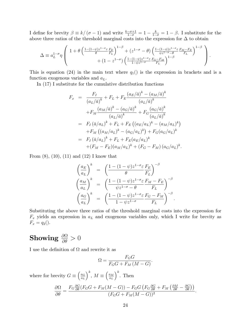I define for brevity  $\beta \equiv k/(\sigma - 1)$  and write  $\frac{k-\sigma+1}{1-\sigma} = 1 - \frac{k}{1-\sigma} = 1 - \beta$ . I substitute for the above three ratios of the threshold marginal costs into the expression for  $\Delta$  to obtain

$$
\Delta \equiv a_L^{1-\sigma} \eta \left(\begin{array}{c} 1+\theta\left(\frac{1-(1-\psi)z^{1-\sigma}\varepsilon}{\theta} \frac{F_E}{F_L}\right)^{1-\beta} + \left(z^{1-\sigma}-\theta\right) \left(\frac{1-(1-\psi)z^{1-\sigma}\varepsilon}{\psi z^{1-\sigma}-\theta} \frac{F_M-F_E}{F_L}\right)^{1-\beta} \right. \\ \left. + \left(1-z^{1-\sigma}\right) \left(\frac{1-(1-\psi)z^{1-\sigma}\varepsilon}{1-\psi z^{1-\sigma}} \frac{F_G-F_M}{F_L}\right)^{1-\beta} \right) . \end{array}\right).
$$

This is equation (24) in the main text where  $q_1()$  is the expression in brackets and is a function exogenous variables and  $a<sub>L</sub>$ .

In (17) I substitute for the cumulative distribution functions

$$
F_x = \frac{F_I}{(a_L/\bar{a})^k} + F_L + F_E \frac{(a_E/\bar{a})^k - (a_M/\bar{a})^k}{(a_L/\bar{a})^k} + F_M \frac{(a_M/\bar{a})^k - (a_G/\bar{a})^k}{(a_L/\bar{a})^k} + F_G \frac{(a_G/\bar{a})^k}{(a_L/\bar{a})^k} = F_I (\bar{a}/a_L)^k + F_L + F_E ((a_E/a_L)^k - (a_M/a_L)^k) + F_M ((a_M/a_L)^k - (a_G/a_L)^k) + F_G (a_G/a_L)^k + (F_M - F_E)(a_M/a_L)^k + (F_G - F_M) (a_G/a_L)^k.
$$

From  $(8)$ ,  $(10)$ ,  $(11)$  and  $(12)$  I know that

$$
\left(\frac{a_E}{a_L}\right)^k = \left(\frac{1 - (1 - \psi)z^{1 - \sigma_E} F_E}{\theta} \right)^{-\beta}
$$

$$
\left(\frac{a_M}{a_L}\right)^k = \left(\frac{1 - (1 - \psi)z^{1 - \sigma_E} F_M - F_E}{\psi z^{1 - \sigma} - \theta} \right)^{-\beta}
$$

$$
\left(\frac{a_G}{a_L}\right)^k = \left(\frac{1 - (1 - \psi)z^{1 - \sigma_E} F_G - F_M}{1 - \psi z^{1 - \sigma}} \right)^{-\beta}
$$

:

Substituting the above three ratios of the threshold marginal costs into the expression for  $F_x$  yields an expression in  $a<sub>L</sub>$  and exogenous variables only, which I write for brevity as  $F_x = q_2(.)$ .

#### Showing  $\frac{\partial \Omega}{\partial \theta}$  $\frac{\partial \Omega}{\partial \theta} > 0$

I use the definition of  $\Omega$  and rewrite it as

$$
\Omega = \frac{F_G G}{F_G G + F_M (M - G)}.
$$

where for brevity  $G \equiv \left(\frac{a_G}{a_L}\right)$  $a_L$  $\Big)^k$ ,  $M \equiv \Big(\frac{a_M}{a_L}\Big)$  $a_L$  $\big)^k$ . Then

$$
\frac{\partial \Omega}{\partial \theta} = \frac{F_G \frac{\partial G}{\partial \theta} (F_G G + F_M (M - G)) - F_G G (F_G \frac{\partial G}{\partial \theta} + F_M (\frac{\partial M}{\partial \theta} - \frac{\partial G}{\partial \theta}))}{(F_G G + F_M (M - G))^2}.
$$